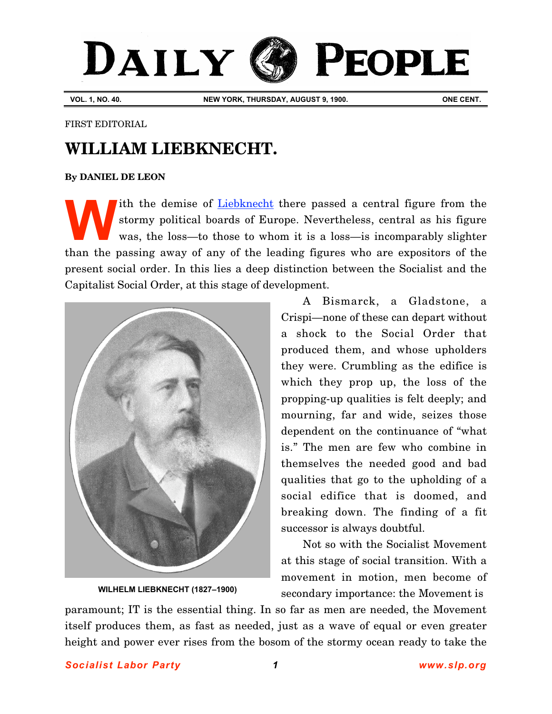## DAILY G **PEOPLE**

**VOL. 1, NO. 40. NEW YORK, THURSDAY, AUGUST 9, 1900. ONE CENT.**

FIRST EDITORIAL

## **WILLIAM LIEBKNECHT.**

## **[By DANIEL DE LEON](http://www.slp.org/De_Leon.htm)**

Ith the demise of [Liebknecht](http://www.marxists.org/archive/liebknecht-w/) there passed a central figure from the stormy political boards of Europe. Nevertheless, central as his figure was, the loss—to those to whom it is a loss—is incomparably slighter than the passing away of any of the leading figures who are expositors of the present social order. In this lies a deep distinction between the Socialist and the Capitalist Social Order, at this stage of development. **W**



**[WILHELM LIEBKNECHT \(1827–1900\)](http://www.marxists.org/archive/liebknecht-w/)**

A Bismarck, a Gladstone, a Crispi—none of these can depart without a shock to the Social Order that produced them, and whose upholders they were. Crumbling as the edifice is which they prop up, the loss of the propping-up qualities is felt deeply; and mourning, far and wide, seizes those dependent on the continuance of "what is." The men are few who combine in themselves the needed good and bad qualities that go to the upholding of a social edifice that is doomed, and breaking down. The finding of a fit successor is always doubtful.

Not so with the Socialist Movement at this stage of social transition. With a movement in motion, men become of secondary importance: the Movement is

paramount; IT is the essential thing. In so far as men are needed, the Movement itself produces them, as fast as needed, just as a wave of equal or even greater height and power ever rises from the bosom of the stormy ocean ready to take the

*Socialist Labor Party 1 [www.slp.org](http://www.slp.org)*